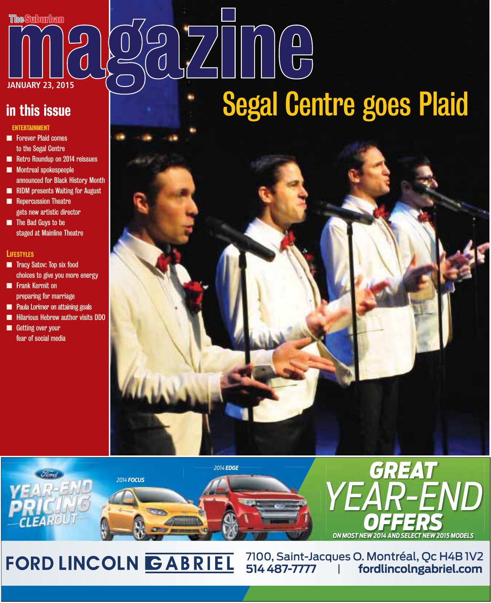

### in this issue

### ENTERTAINMENT

- **n** Forever Plaid comes to the Segal Centre
- **n** Retro Roundup on 2014 reissues
- **n** Montreal spokespeople announced for Black History Month
- **n RIDM** presents Waiting for August **n** Repercussion Theatre
- gets new artistic director
- **n** The Bad Guys to be staged at Mainline Theatre

### **LIFESTYLES**

- **n** Tracy Satov: Top six food choices to give you more energy
- **n** Frank Kermit on preparing for marriage
- **n** Paula Lorimer on attaining goals
- **n** Hilarious Hebrew author visits DDO
- **n** Getting over your fear of social media

# $\left(\begin{array}{c} \begin{pmatrix} 1 \\ 1 \end{pmatrix} & \begin{pmatrix} 1 \\ 1 \end{pmatrix} & \begin{pmatrix} 1 \\ 1 \end{pmatrix} & \begin{pmatrix} 1 \\ 1 \end{pmatrix} & \begin{pmatrix} 1 \\ 1 \end{pmatrix} & \begin{pmatrix} 1 \\ 1 \end{pmatrix} & \begin{pmatrix} 1 \\ 1 \end{pmatrix} & \begin{pmatrix} 1 \\ 1 \end{pmatrix} & \begin{pmatrix} 1 \\ 1 \end{pmatrix} & \begin{pmatrix} 1 \\ 1 \end{pmatrix} & \begin{pmatrix} 1 \\ 1 \end{pmatrix} & \begin{pmatrix} 1 \\ 1 \end$ Segal Centre goes Plaid





## FORD LINCOLN GABRIEL

7100, Saint-Jacques O. Montréal, Qc H4B 1V2<br>514 487-7777 | fordlincolngabriel.com **514 487-7777** *|* **fordlincolngabriel.com**